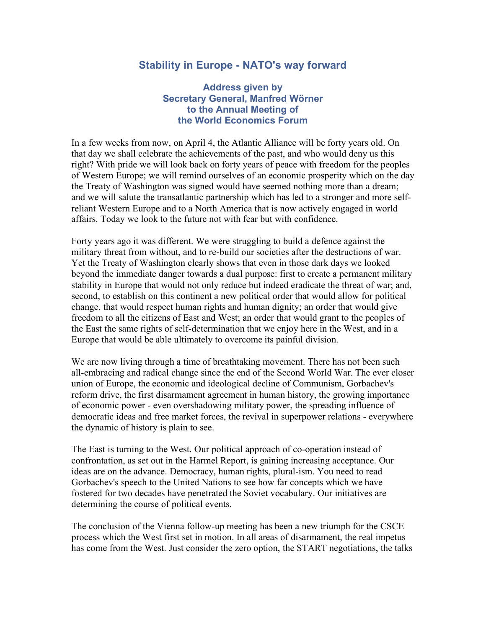## **Stability in Europe - NATO's way forward**

## **Address given by Secretary General, Manfred Wörner to the Annual Meeting of the World Economics Forum**

In a few weeks from now, on April 4, the Atlantic Alliance will be forty years old. On that day we shall celebrate the achievements of the past, and who would deny us this right? With pride we will look back on forty years of peace with freedom for the peoples of Western Europe; we will remind ourselves of an economic prosperity which on the day the Treaty of Washington was signed would have seemed nothing more than a dream; and we will salute the transatlantic partnership which has led to a stronger and more selfreliant Western Europe and to a North America that is now actively engaged in world affairs. Today we look to the future not with fear but with confidence.

Forty years ago it was different. We were struggling to build a defence against the military threat from without, and to re-build our societies after the destructions of war. Yet the Treaty of Washington clearly shows that even in those dark days we looked beyond the immediate danger towards a dual purpose: first to create a permanent military stability in Europe that would not only reduce but indeed eradicate the threat of war; and, second, to establish on this continent a new political order that would allow for political change, that would respect human rights and human dignity; an order that would give freedom to all the citizens of East and West; an order that would grant to the peoples of the East the same rights of self-determination that we enjoy here in the West, and in a Europe that would be able ultimately to overcome its painful division.

We are now living through a time of breathtaking movement. There has not been such all-embracing and radical change since the end of the Second World War. The ever closer union of Europe, the economic and ideological decline of Communism, Gorbachev's reform drive, the first disarmament agreement in human history, the growing importance of economic power - even overshadowing military power, the spreading influence of democratic ideas and free market forces, the revival in superpower relations - everywhere the dynamic of history is plain to see.

The East is turning to the West. Our political approach of co-operation instead of confrontation, as set out in the Harmel Report, is gaining increasing acceptance. Our ideas are on the advance. Democracy, human rights, plural-ism. You need to read Gorbachev's speech to the United Nations to see how far concepts which we have fostered for two decades have penetrated the Soviet vocabulary. Our initiatives are determining the course of political events.

The conclusion of the Vienna follow-up meeting has been a new triumph for the CSCE process which the West first set in motion. In all areas of disarmament, the real impetus has come from the West. Just consider the zero option, the START negotiations, the talks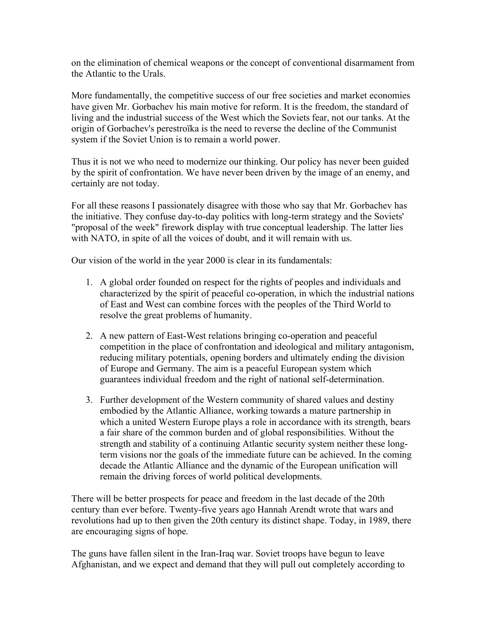on the elimination of chemical weapons or the concept of conventional disarmament from the Atlantic to the Urals.

More fundamentally, the competitive success of our free societies and market economies have given Mr. Gorbachev his main motive for reform. It is the freedom, the standard of living and the industrial success of the West which the Soviets fear, not our tanks. At the origin of Gorbachev's perestroïka is the need to reverse the decline of the Communist system if the Soviet Union is to remain a world power.

Thus it is not we who need to modernize our thinking. Our policy has never been guided by the spirit of confrontation. We have never been driven by the image of an enemy, and certainly are not today.

For all these reasons I passionately disagree with those who say that Mr. Gorbachev has the initiative. They confuse day-to-day politics with long-term strategy and the Soviets' "proposal of the week" firework display with true conceptual leadership. The latter lies with NATO, in spite of all the voices of doubt, and it will remain with us.

Our vision of the world in the year 2000 is clear in its fundamentals:

- 1. A global order founded on respect for the rights of peoples and individuals and characterized by the spirit of peaceful co-operation, in which the industrial nations of East and West can combine forces with the peoples of the Third World to resolve the great problems of humanity.
- 2. A new pattern of East-West relations bringing co-operation and peaceful competition in the place of confrontation and ideological and military antagonism, reducing military potentials, opening borders and ultimately ending the division of Europe and Germany. The aim is a peaceful European system which guarantees individual freedom and the right of national self-determination.
- 3. Further development of the Western community of shared values and destiny embodied by the Atlantic Alliance, working towards a mature partnership in which a united Western Europe plays a role in accordance with its strength, bears a fair share of the common burden and of global responsibilities. Without the strength and stability of a continuing Atlantic security system neither these longterm visions nor the goals of the immediate future can be achieved. In the coming decade the Atlantic Alliance and the dynamic of the European unification will remain the driving forces of world political developments.

There will be better prospects for peace and freedom in the last decade of the 20th century than ever before. Twenty-five years ago Hannah Arendt wrote that wars and revolutions had up to then given the 20th century its distinct shape. Today, in 1989, there are encouraging signs of hope.

The guns have fallen silent in the Iran-Iraq war. Soviet troops have begun to leave Afghanistan, and we expect and demand that they will pull out completely according to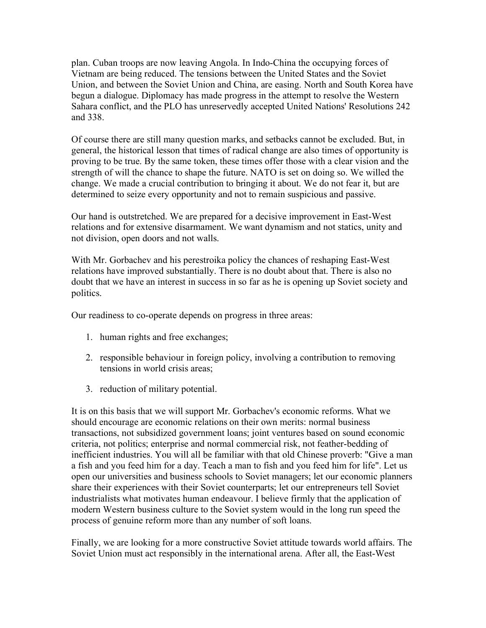plan. Cuban troops are now leaving Angola. In Indo-China the occupying forces of Vietnam are being reduced. The tensions between the United States and the Soviet Union, and between the Soviet Union and China, are easing. North and South Korea have begun a dialogue. Diplomacy has made progress in the attempt to resolve the Western Sahara conflict, and the PLO has unreservedly accepted United Nations' Resolutions 242 and 338.

Of course there are still many question marks, and setbacks cannot be excluded. But, in general, the historical lesson that times of radical change are also times of opportunity is proving to be true. By the same token, these times offer those with a clear vision and the strength of will the chance to shape the future. NATO is set on doing so. We willed the change. We made a crucial contribution to bringing it about. We do not fear it, but are determined to seize every opportunity and not to remain suspicious and passive.

Our hand is outstretched. We are prepared for a decisive improvement in East-West relations and for extensive disarmament. We want dynamism and not statics, unity and not division, open doors and not walls.

With Mr. Gorbachev and his perestroika policy the chances of reshaping East-West relations have improved substantially. There is no doubt about that. There is also no doubt that we have an interest in success in so far as he is opening up Soviet society and politics.

Our readiness to co-operate depends on progress in three areas:

- 1. human rights and free exchanges;
- 2. responsible behaviour in foreign policy, involving a contribution to removing tensions in world crisis areas;
- 3. reduction of military potential.

It is on this basis that we will support Mr. Gorbachev's economic reforms. What we should encourage are economic relations on their own merits: normal business transactions, not subsidized government loans; joint ventures based on sound economic criteria, not politics; enterprise and normal commercial risk, not feather-bedding of inefficient industries. You will all be familiar with that old Chinese proverb: "Give a man a fish and you feed him for a day. Teach a man to fish and you feed him for life". Let us open our universities and business schools to Soviet managers; let our economic planners share their experiences with their Soviet counterparts; let our entrepreneurs tell Soviet industrialists what motivates human endeavour. I believe firmly that the application of modern Western business culture to the Soviet system would in the long run speed the process of genuine reform more than any number of soft loans.

Finally, we are looking for a more constructive Soviet attitude towards world affairs. The Soviet Union must act responsibly in the international arena. After all, the East-West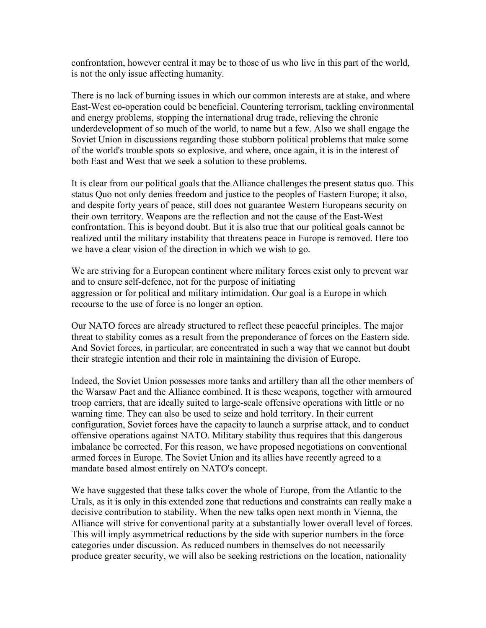confrontation, however central it may be to those of us who live in this part of the world, is not the only issue affecting humanity.

There is no lack of burning issues in which our common interests are at stake, and where East-West co-operation could be beneficial. Countering terrorism, tackling environmental and energy problems, stopping the international drug trade, relieving the chronic underdevelopment of so much of the world, to name but a few. Also we shall engage the Soviet Union in discussions regarding those stubborn political problems that make some of the world's trouble spots so explosive, and where, once again, it is in the interest of both East and West that we seek a solution to these problems.

It is clear from our political goals that the Alliance challenges the present status quo. This status Quo not only denies freedom and justice to the peoples of Eastern Europe; it also, and despite forty years of peace, still does not guarantee Western Europeans security on their own territory. Weapons are the reflection and not the cause of the East-West confrontation. This is beyond doubt. But it is also true that our political goals cannot be realized until the military instability that threatens peace in Europe is removed. Here too we have a clear vision of the direction in which we wish to go.

We are striving for a European continent where military forces exist only to prevent war and to ensure self-defence, not for the purpose of initiating aggression or for political and military intimidation. Our goal is a Europe in which recourse to the use of force is no longer an option.

Our NATO forces are already structured to reflect these peaceful principles. The major threat to stability comes as a result from the preponderance of forces on the Eastern side. And Soviet forces, in particular, are concentrated in such a way that we cannot but doubt their strategic intention and their role in maintaining the division of Europe.

Indeed, the Soviet Union possesses more tanks and artillery than all the other members of the Warsaw Pact and the Alliance combined. It is these weapons, together with armoured troop carriers, that are ideally suited to large-scale offensive operations with little or no warning time. They can also be used to seize and hold territory. In their current configuration, Soviet forces have the capacity to launch a surprise attack, and to conduct offensive operations against NATO. Military stability thus requires that this dangerous imbalance be corrected. For this reason, we have proposed negotiations on conventional armed forces in Europe. The Soviet Union and its allies have recently agreed to a mandate based almost entirely on NATO's concept.

We have suggested that these talks cover the whole of Europe, from the Atlantic to the Urals, as it is only in this extended zone that reductions and constraints can really make a decisive contribution to stability. When the new talks open next month in Vienna, the Alliance will strive for conventional parity at a substantially lower overall level of forces. This will imply asymmetrical reductions by the side with superior numbers in the force categories under discussion. As reduced numbers in themselves do not necessarily produce greater security, we will also be seeking restrictions on the location, nationality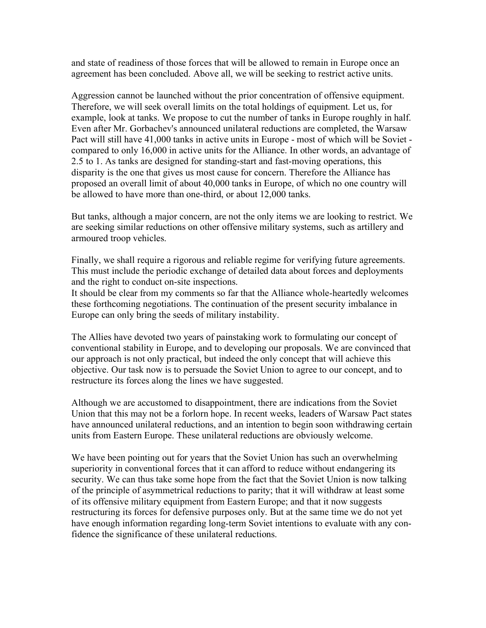and state of readiness of those forces that will be allowed to remain in Europe once an agreement has been concluded. Above all, we will be seeking to restrict active units.

Aggression cannot be launched without the prior concentration of offensive equipment. Therefore, we will seek overall limits on the total holdings of equipment. Let us, for example, look at tanks. We propose to cut the number of tanks in Europe roughly in half. Even after Mr. Gorbachev's announced unilateral reductions are completed, the Warsaw Pact will still have 41,000 tanks in active units in Europe - most of which will be Soviet compared to only 16,000 in active units for the Alliance. In other words, an advantage of 2.5 to 1. As tanks are designed for standing-start and fast-moving operations, this disparity is the one that gives us most cause for concern. Therefore the Alliance has proposed an overall limit of about 40,000 tanks in Europe, of which no one country will be allowed to have more than one-third, or about 12,000 tanks.

But tanks, although a major concern, are not the only items we are looking to restrict. We are seeking similar reductions on other offensive military systems, such as artillery and armoured troop vehicles.

Finally, we shall require a rigorous and reliable regime for verifying future agreements. This must include the periodic exchange of detailed data about forces and deployments and the right to conduct on-site inspections.

It should be clear from my comments so far that the Alliance whole-heartedly welcomes these forthcoming negotiations. The continuation of the present security imbalance in Europe can only bring the seeds of military instability.

The Allies have devoted two years of painstaking work to formulating our concept of conventional stability in Europe, and to developing our proposals. We are convinced that our approach is not only practical, but indeed the only concept that will achieve this objective. Our task now is to persuade the Soviet Union to agree to our concept, and to restructure its forces along the lines we have suggested.

Although we are accustomed to disappointment, there are indications from the Soviet Union that this may not be a forlorn hope. In recent weeks, leaders of Warsaw Pact states have announced unilateral reductions, and an intention to begin soon withdrawing certain units from Eastern Europe. These unilateral reductions are obviously welcome.

We have been pointing out for years that the Soviet Union has such an overwhelming superiority in conventional forces that it can afford to reduce without endangering its security. We can thus take some hope from the fact that the Soviet Union is now talking of the principle of asymmetrical reductions to parity; that it will withdraw at least some of its offensive military equipment from Eastern Europe; and that it now suggests restructuring its forces for defensive purposes only. But at the same time we do not yet have enough information regarding long-term Soviet intentions to evaluate with any confidence the significance of these unilateral reductions.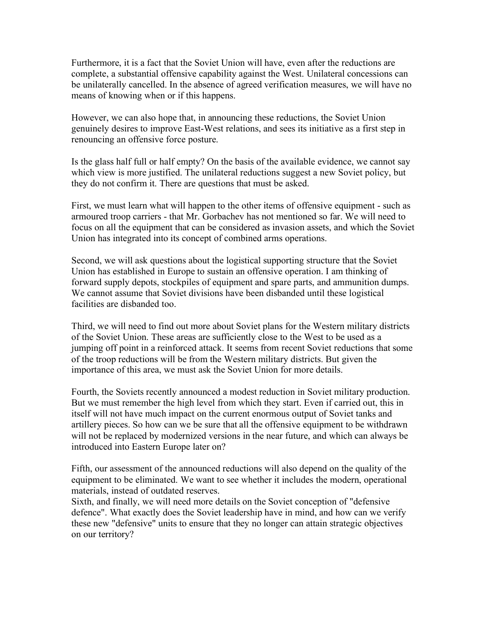Furthermore, it is a fact that the Soviet Union will have, even after the reductions are complete, a substantial offensive capability against the West. Unilateral concessions can be unilaterally cancelled. In the absence of agreed verification measures, we will have no means of knowing when or if this happens.

However, we can also hope that, in announcing these reductions, the Soviet Union genuinely desires to improve East-West relations, and sees its initiative as a first step in renouncing an offensive force posture.

Is the glass half full or half empty? On the basis of the available evidence, we cannot say which view is more justified. The unilateral reductions suggest a new Soviet policy, but they do not confirm it. There are questions that must be asked.

First, we must learn what will happen to the other items of offensive equipment - such as armoured troop carriers - that Mr. Gorbachev has not mentioned so far. We will need to focus on all the equipment that can be considered as invasion assets, and which the Soviet Union has integrated into its concept of combined arms operations.

Second, we will ask questions about the logistical supporting structure that the Soviet Union has established in Europe to sustain an offensive operation. I am thinking of forward supply depots, stockpiles of equipment and spare parts, and ammunition dumps. We cannot assume that Soviet divisions have been disbanded until these logistical facilities are disbanded too.

Third, we will need to find out more about Soviet plans for the Western military districts of the Soviet Union. These areas are sufficiently close to the West to be used as a jumping off point in a reinforced attack. It seems from recent Soviet reductions that some of the troop reductions will be from the Western military districts. But given the importance of this area, we must ask the Soviet Union for more details.

Fourth, the Soviets recently announced a modest reduction in Soviet military production. But we must remember the high level from which they start. Even if carried out, this in itself will not have much impact on the current enormous output of Soviet tanks and artillery pieces. So how can we be sure that all the offensive equipment to be withdrawn will not be replaced by modernized versions in the near future, and which can always be introduced into Eastern Europe later on?

Fifth, our assessment of the announced reductions will also depend on the quality of the equipment to be eliminated. We want to see whether it includes the modern, operational materials, instead of outdated reserves.

Sixth, and finally, we will need more details on the Soviet conception of "defensive defence". What exactly does the Soviet leadership have in mind, and how can we verify these new "defensive" units to ensure that they no longer can attain strategic objectives on our territory?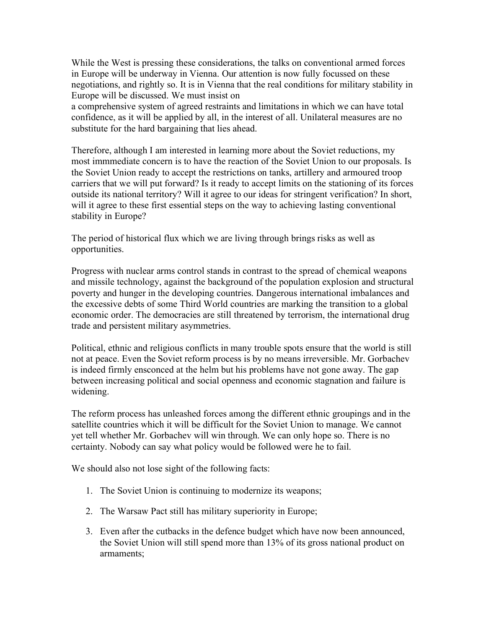While the West is pressing these considerations, the talks on conventional armed forces in Europe will be underway in Vienna. Our attention is now fully focussed on these negotiations, and rightly so. It is in Vienna that the real conditions for military stability in Europe will be discussed. We must insist on

a comprehensive system of agreed restraints and limitations in which we can have total confidence, as it will be applied by all, in the interest of all. Unilateral measures are no substitute for the hard bargaining that lies ahead.

Therefore, although I am interested in learning more about the Soviet reductions, my most immmediate concern is to have the reaction of the Soviet Union to our proposals. Is the Soviet Union ready to accept the restrictions on tanks, artillery and armoured troop carriers that we will put forward? Is it ready to accept limits on the stationing of its forces outside its national territory? Will it agree to our ideas for stringent verification? In short, will it agree to these first essential steps on the way to achieving lasting conventional stability in Europe?

The period of historical flux which we are living through brings risks as well as opportunities.

Progress with nuclear arms control stands in contrast to the spread of chemical weapons and missile technology, against the background of the population explosion and structural poverty and hunger in the developing countries. Dangerous international imbalances and the excessive debts of some Third World countries are marking the transition to a global economic order. The democracies are still threatened by terrorism, the international drug trade and persistent military asymmetries.

Political, ethnic and religious conflicts in many trouble spots ensure that the world is still not at peace. Even the Soviet reform process is by no means irreversible. Mr. Gorbachev is indeed firmly ensconced at the helm but his problems have not gone away. The gap between increasing political and social openness and economic stagnation and failure is widening.

The reform process has unleashed forces among the different ethnic groupings and in the satellite countries which it will be difficult for the Soviet Union to manage. We cannot yet tell whether Mr. Gorbachev will win through. We can only hope so. There is no certainty. Nobody can say what policy would be followed were he to fail.

We should also not lose sight of the following facts:

- 1. The Soviet Union is continuing to modernize its weapons;
- 2. The Warsaw Pact still has military superiority in Europe;
- 3. Even after the cutbacks in the defence budget which have now been announced, the Soviet Union will still spend more than 13% of its gross national product on armaments;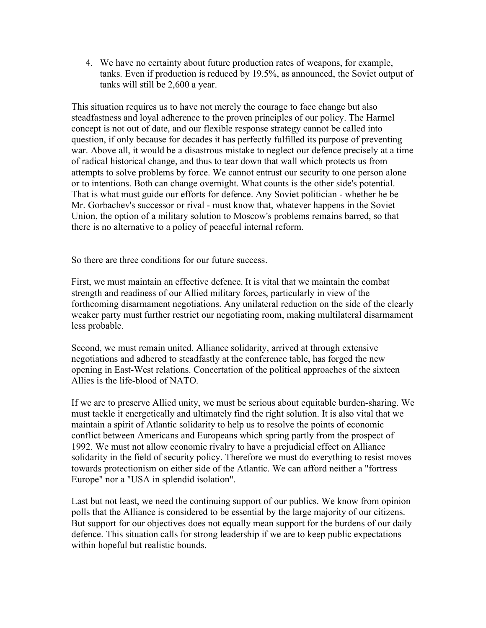4. We have no certainty about future production rates of weapons, for example, tanks. Even if production is reduced by 19.5%, as announced, the Soviet output of tanks will still be 2,600 a year.

This situation requires us to have not merely the courage to face change but also steadfastness and loyal adherence to the proven principles of our policy. The Harmel concept is not out of date, and our flexible response strategy cannot be called into question, if only because for decades it has perfectly fulfilled its purpose of preventing war. Above all, it would be a disastrous mistake to neglect our defence precisely at a time of radical historical change, and thus to tear down that wall which protects us from attempts to solve problems by force. We cannot entrust our security to one person alone or to intentions. Both can change overnight. What counts is the other side's potential. That is what must guide our efforts for defence. Any Soviet politician - whether he be Mr. Gorbachev's successor or rival - must know that, whatever happens in the Soviet Union, the option of a military solution to Moscow's problems remains barred, so that there is no alternative to a policy of peaceful internal reform.

So there are three conditions for our future success.

First, we must maintain an effective defence. It is vital that we maintain the combat strength and readiness of our Allied military forces, particularly in view of the forthcoming disarmament negotiations. Any unilateral reduction on the side of the clearly weaker party must further restrict our negotiating room, making multilateral disarmament less probable.

Second, we must remain united. Alliance solidarity, arrived at through extensive negotiations and adhered to steadfastly at the conference table, has forged the new opening in East-West relations. Concertation of the political approaches of the sixteen Allies is the life-blood of NATO.

If we are to preserve Allied unity, we must be serious about equitable burden-sharing. We must tackle it energetically and ultimately find the right solution. It is also vital that we maintain a spirit of Atlantic solidarity to help us to resolve the points of economic conflict between Americans and Europeans which spring partly from the prospect of 1992. We must not allow economic rivalry to have a prejudicial effect on Alliance solidarity in the field of security policy. Therefore we must do everything to resist moves towards protectionism on either side of the Atlantic. We can afford neither a "fortress Europe" nor a "USA in splendid isolation".

Last but not least, we need the continuing support of our publics. We know from opinion polls that the Alliance is considered to be essential by the large majority of our citizens. But support for our objectives does not equally mean support for the burdens of our daily defence. This situation calls for strong leadership if we are to keep public expectations within hopeful but realistic bounds.